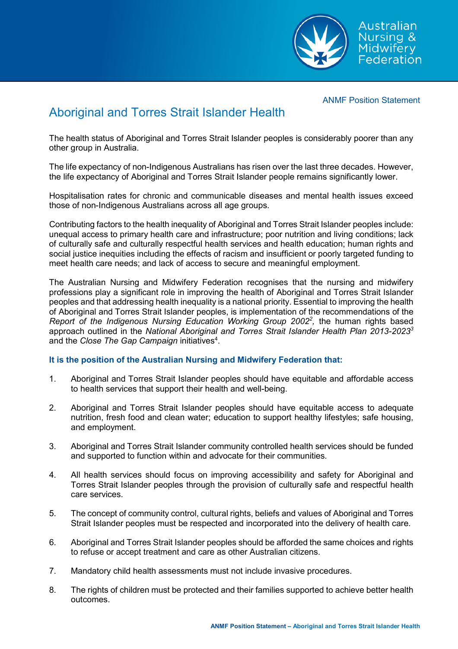ANMF Position Statement

Australian Nursing &



## Aboriginal and Torres Strait Islander Health

The health status of Aboriginal and Torres Strait Islander peoples is considerably poorer than any other group in Australia.

The life expectancy of non-Indigenous Australians has risen over the last three decades. However, the life expectancy of Aboriginal and Torres Strait Islander people remains significantly lower.

Hospitalisation rates for chronic and communicable diseases and mental health issues exceed those of non-Indigenous Australians across all age groups.

Contributing factors to the health inequality of Aboriginal and Torres Strait Islander peoples include: unequal access to primary health care and infrastructure; poor nutrition and living conditions; lack of culturally safe and culturally respectful health services and health education; human rights and social justice inequities including the effects of racism and insufficient or poorly targeted funding to meet health care needs; and lack of access to secure and meaningful employment.

The Australian Nursing and Midwifery Federation recognises that the nursing and midwifery professions play a significant role in improving the health of Aboriginal and Torres Strait Islander peoples and that addressing health inequality is a national priority. Essential to improving the health of Aboriginal and Torres Strait Islander peoples, is implementation of the recommendations of the *Report of the Indigenous Nursing Education Working Group 2002<sup>2</sup> ,* the human rights based approach outlined in the *National Aboriginal and Torres Strait Islander Health Plan 2013-20233* and the *Close The Gap Campaign* initiatives<sup>4</sup>.

## **It is the position of the Australian Nursing and Midwifery Federation that:**

- 1. Aboriginal and Torres Strait Islander peoples should have equitable and affordable access to health services that support their health and well-being.
- 2. Aboriginal and Torres Strait Islander peoples should have equitable access to adequate nutrition, fresh food and clean water; education to support healthy lifestyles; safe housing, and employment.
- 3. Aboriginal and Torres Strait Islander community controlled health services should be funded and supported to function within and advocate for their communities.
- 4. All health services should focus on improving accessibility and safety for Aboriginal and Torres Strait Islander peoples through the provision of culturally safe and respectful health care services.
- 5. The concept of community control, cultural rights, beliefs and values of Aboriginal and Torres Strait Islander peoples must be respected and incorporated into the delivery of health care.
- 6. Aboriginal and Torres Strait Islander peoples should be afforded the same choices and rights to refuse or accept treatment and care as other Australian citizens.
- 7. Mandatory child health assessments must not include invasive procedures.
- 8. The rights of children must be protected and their families supported to achieve better health outcomes.